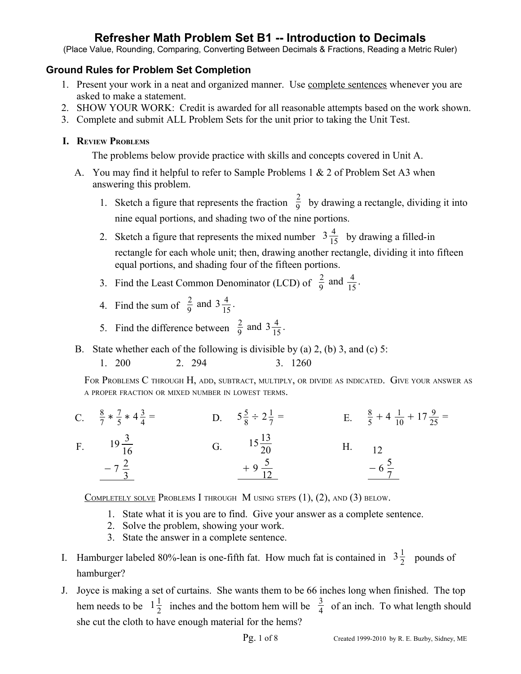(Place Value, Rounding, Comparing, Converting Between Decimals & Fractions, Reading a Metric Ruler)

### **Ground Rules for Problem Set Completion**

- 1. Present your work in a neat and organized manner. Use complete sentences whenever you are asked to make a statement.
- 2. SHOW YOUR WORK: Credit is awarded for all reasonable attempts based on the work shown.
- 3. Complete and submit ALL Problem Sets for the unit prior to taking the Unit Test.

### **I. REVIEW PROBLEMS**

The problems below provide practice with skills and concepts covered in Unit A.

- A. You may find it helpful to refer to Sample Problems 1 & 2 of Problem Set A3 when answering this problem.
	- 1. Sketch a figure that represents the fraction  $\frac{2}{9}$  by drawing a rectangle, dividing it into nine equal portions, and shading two of the nine portions.
	- 2. Sketch a figure that represents the mixed number  $3\frac{4}{15}$  by drawing a filled-in rectangle for each whole unit; then, drawing another rectangle, dividing it into fifteen equal portions, and shading four of the fifteen portions.
	- 3. Find the Least Common Denominator (LCD) of  $\frac{2}{9}$  and  $\frac{4}{15}$ .
	- 4. Find the sum of  $\frac{2}{9}$  and  $3\frac{4}{15}$  $\frac{4}{15}$ .
	- 5. Find the difference between  $\frac{2}{9}$  and  $3\frac{4}{15}$  $\frac{4}{15}$ .
- B. State whether each of the following is divisible by (a) 2, (b) 3, and (c) 5:
	- 1. 200 2. 294 3. 1260

FOR PROBLEMS C THROUGH H, ADD, SUBTRACT, MULTIPLY, OR DIVIDE AS INDICATED. GIVE YOUR ANSWER AS <sup>A</sup> PROPER FRACTION OR MIXED NUMBER IN LOWEST TERMS.

C.  $\frac{8}{7} * \frac{7}{5}$  $\frac{7}{5}$  \* 4 $\frac{3}{4}$ 4  $=$  D.  $5\frac{5}{8}$  $\frac{5}{8} \div 2\frac{1}{7}$ 7  $=$  E.  $\frac{8}{5} + 4 \frac{1}{10}$  $\frac{1}{10} + 17 \frac{9}{25} =$ F.  $19\frac{3}{16}$  $-7\frac{2}{3}$ 3 G.  $15\frac{13}{20}$  $+9\frac{5}{16}$ 12 H. 12  $-6\frac{5}{7}$ 7

COMPLETELY SOLVE PROBLEMS I THROUGH M USING STEPS  $(1)$ ,  $(2)$ , and  $(3)$  below.

- 1. State what it is you are to find. Give your answer as a complete sentence.
- 2. Solve the problem, showing your work.
- 3. State the answer in a complete sentence.
- I. Hamburger labeled 80%-lean is one-fifth fat. How much fat is contained in  $3\frac{1}{2}$  $\frac{1}{2}$  pounds of hamburger?
- J. Joyce is making a set of curtains. She wants them to be 66 inches long when finished. The top hem needs to be  $1\frac{1}{2}$  $\frac{1}{2}$  inches and the bottom hem will be  $\frac{3}{4}$  of an inch. To what length should she cut the cloth to have enough material for the hems?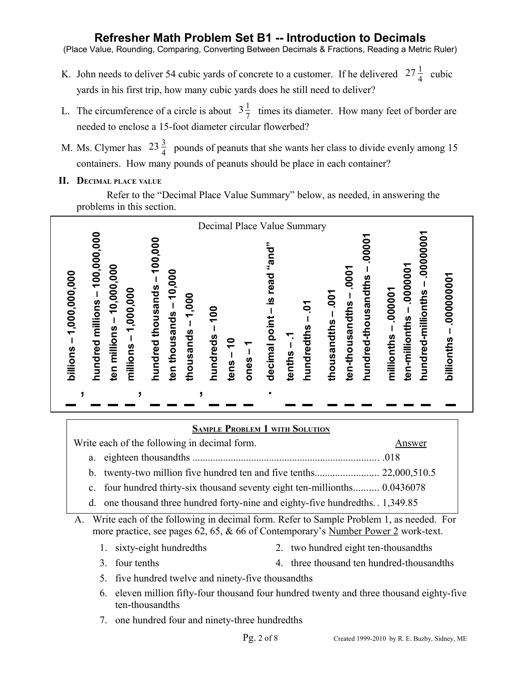(Place Value, Rounding, Comparing, Converting Between Decimals & Fractions, Reading a Metric Ruler)

- K. John needs to deliver 54 cubic yards of concrete to a customer. If he delivered  $27\frac{1}{4}$  cubic yards in his first trip, how many cubic yards does he still need to deliver?
- L. The circumference of a circle is about  $3\frac{1}{7}$  $\frac{1}{7}$  times its diameter. How many feet of border are needed to enclose a 15-foot diameter circular flowerbed?
- M. Ms. Clymer has  $23\frac{3}{4}$  pounds of peanuts that she wants her class to divide evenly among 15 containers. How many pounds of peanuts should be place in each container?
- **II. DECIMAL PLACE VALUE**

Refer to the "Decimal Place Value Summary" below, as needed, in answering the problems in this section.



## A. Write each of the following in decimal form. Refer to Sample Problem 1, as needed. For more practice, see pages 62, 65, & 66 of Contemporary's Number Power 2 work-text. 1. sixty-eight hundredths 2. two hundred eight ten-thousandths 3. four tenths 4. three thousand ten hundred-thousandths 5. five hundred twelve and ninety-five thousandths 6. eleven million fifty-four thousand four hundred twenty and three thousand eighty-five ten-thousandths  **SAMPLE PROBLEM 1 WITH SOLUTION** Write each of the following in decimal form. Answer a. eighteen thousandths ......................................................................... .018 b. twenty-two million five hundred ten and five tenths......................... 22,000,510.5 c. four hundred thirty-six thousand seventy eight ten-millionths.......... 0.0436078 d. one thousand three hundred forty-nine and eighty-five hundredths. . 1,349.85

7. one hundred four and ninety-three hundredths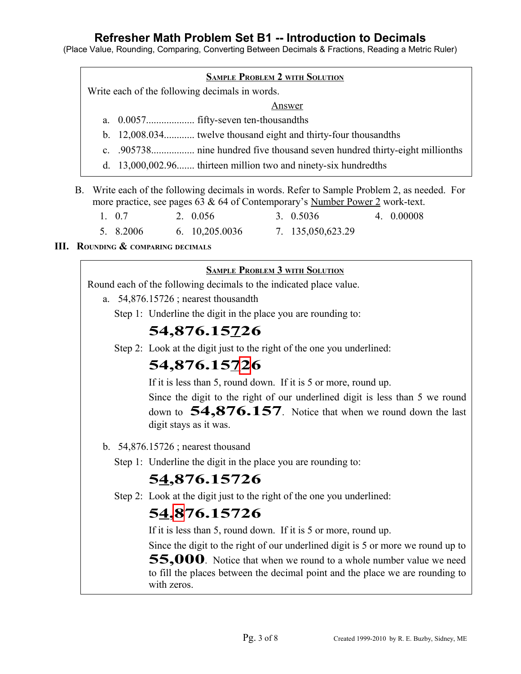(Place Value, Rounding, Comparing, Converting Between Decimals & Fractions, Reading a Metric Ruler)

Write each of the following decimals in words.

#### Answer

- a. 0.0057................... fifty-seven ten-thousandths
- b. 12,008.034............ twelve thousand eight and thirty-four thousandths
- c. .905738................. nine hundred five thousand seven hundred thirty-eight millionths
- d. 13,000,002.96....... thirteen million two and ninety-six hundredths
- B. Write each of the following decimals in words. Refer to Sample Problem 2, as needed. For more practice, see pages 63 & 64 of Contemporary's Number Power 2 work-text.

| 1. 0.7    | 2. 0.056               | 3. 0.5036         | 4. 0.00008 |
|-----------|------------------------|-------------------|------------|
| 5. 8.2006 | $6. \quad 10,205,0036$ | 7. 135,050,623.29 |            |

#### **III. ROUNDING & COMPARING DECIMALS**

#### **SAMPLE PROBLEM 3 WITH SOLUTION**

Round each of the following decimals to the indicated place value.

- a. 54,876.15726 ; nearest thousandth
	- Step 1: Underline the digit in the place you are rounding to:

## **54,876.15726**

Step 2: Look at the digit just to the right of the one you underlined:

## **54,876.15726**

If it is less than 5, round down. If it is 5 or more, round up.

Since the digit to the right of our underlined digit is less than 5 we round down to **54,876.157**. Notice that when we round down the last digit stays as it was.

- b. 54,876.15726 ; nearest thousand
	- Step 1: Underline the digit in the place you are rounding to:

## **54,876.15726**

Step 2: Look at the digit just to the right of the one you underlined:

## **54,876.15726**

If it is less than 5, round down. If it is 5 or more, round up.

Since the digit to the right of our underlined digit is 5 or more we round up to **55,000**. Notice that when we round to a whole number value we need to fill the places between the decimal point and the place we are rounding to with zeros.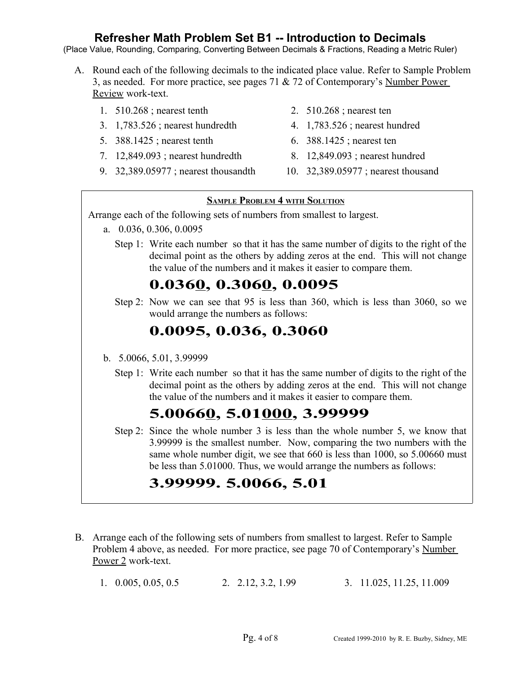(Place Value, Rounding, Comparing, Converting Between Decimals & Fractions, Reading a Metric Ruler)

- A. Round each of the following decimals to the indicated place value. Refer to Sample Problem 3, as needed. For more practice, see pages 71 & 72 of Contemporary's Number Power Review work-text.
	- 1. 510.268 ; nearest tenth 2. 510.268 ; nearest ten
	- 3. 1,783.526 ; nearest hundredth 4. 1,783.526 ; nearest hundred
	- 5. 388.1425 ; nearest tenth 6. 388.1425 ; nearest ten
	- 7. 12,849.093 ; nearest hundredth 8. 12,849.093 ; nearest hundred
	- 9. 32,389.05977 ; nearest thousandth 10. 32,389.05977 ; nearest thousand
- 
- 
- 
- 
- 

#### **SAMPLE PROBLEM 4 WITH SOLUTION**

Arrange each of the following sets of numbers from smallest to largest.

- a. 0.036, 0.306, 0.0095
	- Step 1: Write each number so that it has the same number of digits to the right of the decimal point as the others by adding zeros at the end. This will not change the value of the numbers and it makes it easier to compare them.

# **0.0360, 0.3060, 0.0095**

Step 2: Now we can see that 95 is less than 360, which is less than 3060, so we would arrange the numbers as follows:

## **0.0095, 0.036, 0.3060**

- b. 5.0066, 5.01, 3.99999
	- Step 1: Write each number so that it has the same number of digits to the right of the decimal point as the others by adding zeros at the end. This will not change the value of the numbers and it makes it easier to compare them.

# **5.00660, 5.01000, 3.99999**

Step 2: Since the whole number 3 is less than the whole number 5, we know that 3.99999 is the smallest number. Now, comparing the two numbers with the same whole number digit, we see that 660 is less than 1000, so 5.00660 must be less than 5.01000. Thus, we would arrange the numbers as follows:

# **3.99999. 5.0066, 5.01**

- B. Arrange each of the following sets of numbers from smallest to largest. Refer to Sample Problem 4 above, as needed. For more practice, see page 70 of Contemporary's Number Power 2 work-text.
	- 1. 0.005, 0.05, 0.5 2. 2.12, 3.2, 1.99 3. 11.025, 11.25, 11.009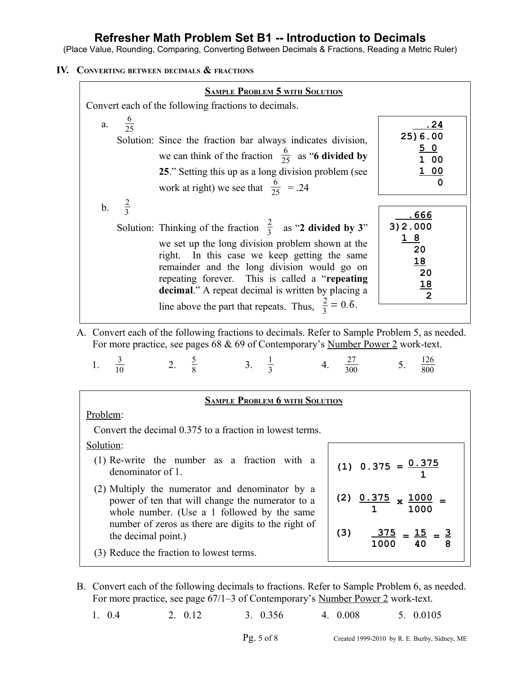(Place Value, Rounding, Comparing, Converting Between Decimals & Fractions, Reading a Metric Ruler)

**IV. CONVERTING BETWEEN DECIMALS & FRACTIONS**

| <b>SAMPLE PROBLEM 5 WITH SOLUTION</b>                                                                                                                                                                                                                                                                                                                                                                                                                                                                                                                                                                                                                                                                                 |                                                                                        |  |  |  |  |  |
|-----------------------------------------------------------------------------------------------------------------------------------------------------------------------------------------------------------------------------------------------------------------------------------------------------------------------------------------------------------------------------------------------------------------------------------------------------------------------------------------------------------------------------------------------------------------------------------------------------------------------------------------------------------------------------------------------------------------------|----------------------------------------------------------------------------------------|--|--|--|--|--|
| Convert each of the following fractions to decimals.                                                                                                                                                                                                                                                                                                                                                                                                                                                                                                                                                                                                                                                                  |                                                                                        |  |  |  |  |  |
| a. $\frac{6}{25}$<br>Solution: Since the fraction bar always indicates division,<br>we can think of the fraction $\frac{6}{25}$ as "6 divided by<br>25." Setting this up as a long division problem (see<br>work at right) we see that $\frac{6}{25}$ = .24                                                                                                                                                                                                                                                                                                                                                                                                                                                           | <u>. 24</u><br>25) 6.00<br>50<br>1 00<br><u>1 00</u><br>0                              |  |  |  |  |  |
| b. $\frac{2}{3}$<br>Solution: Thinking of the fraction $\frac{2}{3}$ as "2 divided by 3"<br>we set up the long division problem shown at the<br>right. In this case we keep getting the same<br>remainder and the long division would go on<br>repeating forever. This is called a "repeating"<br>decimal." A repeat decimal is written by placing a<br>line above the part that repeats. Thus, $\frac{2}{3} = 0.\overline{6}$ .<br>A. Convert each of the following fractions to decimals. Refer to Sample Problem 5, as needed.<br>For more practice, see pages 68 & 69 of Contemporary's Number Power 2 work-text.<br>1. $\frac{3}{10}$ 2. $\frac{5}{8}$ 3. $\frac{1}{3}$ 4. $\frac{27}{300}$ 5. $\frac{126}{800}$ | <u>. 666</u><br>3) 2.000<br>18<br>20<br><u>18</u><br>20<br><u>18</u><br>$\overline{2}$ |  |  |  |  |  |
| <b>SAMPLE PROBLEM 6 WITH SOLUTION</b>                                                                                                                                                                                                                                                                                                                                                                                                                                                                                                                                                                                                                                                                                 |                                                                                        |  |  |  |  |  |
| Problem:<br>Convert the decimal 0.375 to a fraction in lowest terms.<br>Solution:                                                                                                                                                                                                                                                                                                                                                                                                                                                                                                                                                                                                                                     |                                                                                        |  |  |  |  |  |
| (1) Re-write the number as a fraction with a<br>(1) $0.375 = 0.375$<br>denominator of 1.                                                                                                                                                                                                                                                                                                                                                                                                                                                                                                                                                                                                                              |                                                                                        |  |  |  |  |  |
| (2) Multiply the numerator and denominator by a<br>$0.375$ $\times$ 1000<br>(2)<br>power of ten that will change the numerator to a<br>1000<br>whole number. (Use a 1 followed by the same<br>number of zeros as there are digits to the right of<br>(3)<br>$\frac{375}{ } = 15$<br>$=$ $\frac{3}{5}$<br>the decimal point.)                                                                                                                                                                                                                                                                                                                                                                                          |                                                                                        |  |  |  |  |  |
| (3) Reduce the fraction to lowest terms.                                                                                                                                                                                                                                                                                                                                                                                                                                                                                                                                                                                                                                                                              | 1000<br>8<br>40                                                                        |  |  |  |  |  |

B. Convert each of the following decimals to fractions. Refer to Sample Problem 6, as needed. For more practice, see page 67/1–3 of Contemporary's Number Power 2 work-text.

1. 0.4 2. 0.12 3. 0.356 4. 0.008 5. 0.0105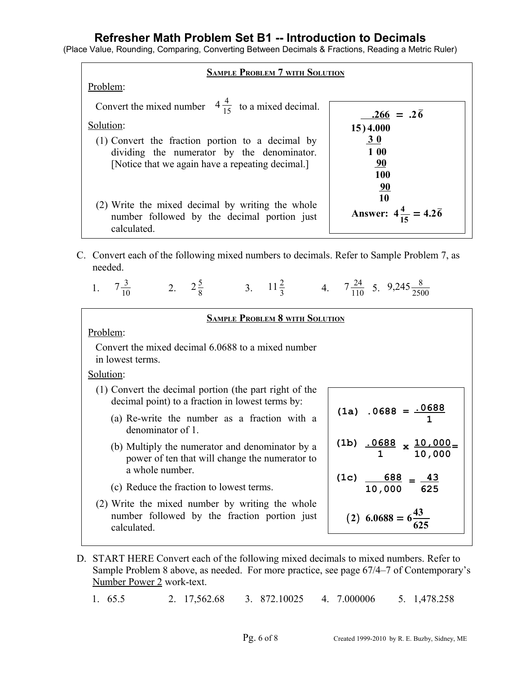(Place Value, Rounding, Comparing, Converting Between Decimals & Fractions, Reading a Metric Ruler)

| <b>SAMPLE PROBLEM 7 WITH SOLUTION</b>                                                          |                                                 |  |  |  |  |  |
|------------------------------------------------------------------------------------------------|-------------------------------------------------|--|--|--|--|--|
| Problem:                                                                                       |                                                 |  |  |  |  |  |
| Convert the mixed number $4\frac{4}{15}$ to a mixed decimal.                                   | $.266 = .2\overline{6}$                         |  |  |  |  |  |
| Solution:                                                                                      | 15) 4.000                                       |  |  |  |  |  |
| (1) Convert the fraction portion to a decimal by<br>dividing the numerator by the denominator. | 30<br>1 00                                      |  |  |  |  |  |
| [Notice that we again have a repeating decimal.]                                               | <u>90</u><br>100                                |  |  |  |  |  |
|                                                                                                | <u>90</u>                                       |  |  |  |  |  |
| (2) Write the mixed decimal by writing the whole                                               | 10<br>Answer: $4\frac{4}{15} = 4.2\overline{6}$ |  |  |  |  |  |
| number followed by the decimal portion just<br>calculated.                                     |                                                 |  |  |  |  |  |

C. Convert each of the following mixed numbers to decimals. Refer to Sample Problem 7, as needed.

|  | $\sim$ | $\frac{24}{5}$ $\zeta$ | $^{145}$ $-$<br>. <u>.</u> |
|--|--------|------------------------|----------------------------|
|  |        |                        |                            |

| <b>SAMPLE PROBLEM 8 WITH SOLUTION</b>                                                                                |                                            |  |  |  |  |  |
|----------------------------------------------------------------------------------------------------------------------|--------------------------------------------|--|--|--|--|--|
| Problem:                                                                                                             |                                            |  |  |  |  |  |
| Convert the mixed decimal 6.0688 to a mixed number<br>in lowest terms.                                               |                                            |  |  |  |  |  |
| Solution:                                                                                                            |                                            |  |  |  |  |  |
| (1) Convert the decimal portion (the part right of the<br>decimal point) to a fraction in lowest terms by:           |                                            |  |  |  |  |  |
| (a) Re-write the number as a fraction with a<br>denominator of 1.                                                    | $(1a) .0688 = .0688$                       |  |  |  |  |  |
| (b) Multiply the numerator and denominator by a<br>power of ten that will change the numerator to<br>a whole number. | (1b) $.0688 \times 10,000 =$<br>1 10,000   |  |  |  |  |  |
| (c) Reduce the fraction to lowest terms.                                                                             | (1c) $\frac{688}{10,000} = \frac{43}{625}$ |  |  |  |  |  |
| (2) Write the mixed number by writing the whole<br>number followed by the fraction portion just<br>calculated.       | $(2)$ 6.0688 = 6 $\frac{43}{12}$           |  |  |  |  |  |

D. START HERE Convert each of the following mixed decimals to mixed numbers. Refer to Sample Problem 8 above, as needed. For more practice, see page 67/4–7 of Contemporary's Number Power 2 work-text.

1. 65.5 2. 17,562.68 3. 872.10025 4. 7.000006 5. 1,478.258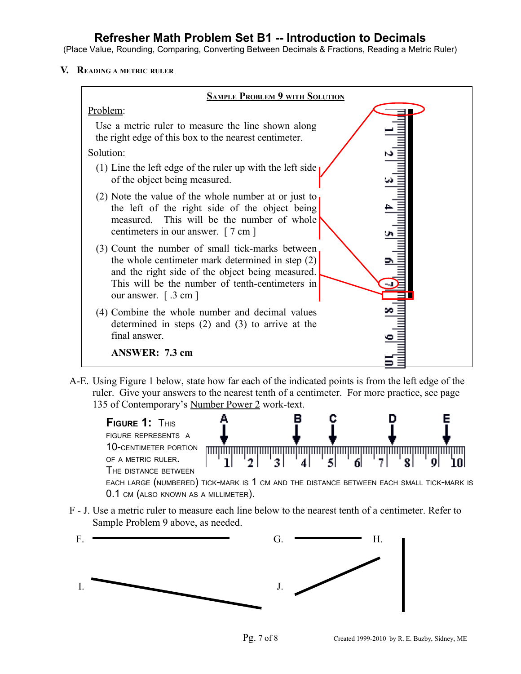(Place Value, Rounding, Comparing, Converting Between Decimals & Fractions, Reading a Metric Ruler)

**V. READING <sup>A</sup> METRIC RULER**



A-E. Using Figure 1 below, state how far each of the indicated points is from the left edge of the ruler. Give your answers to the nearest tenth of a centimeter. For more practice, see page 135 of Contemporary's Number Power 2 work-text.



F - J. Use a metric ruler to measure each line below to the nearest tenth of a centimeter. Refer to Sample Problem 9 above, as needed.